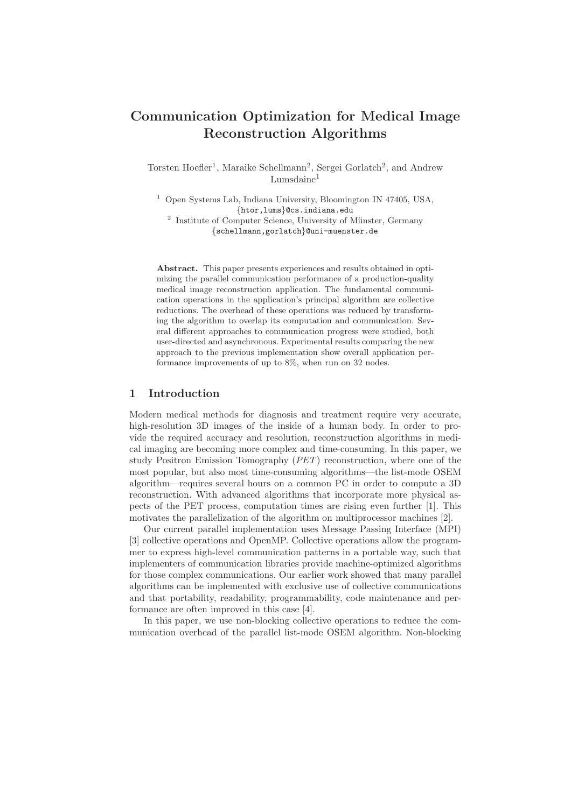# Communication Optimization for Medical Image Reconstruction Algorithms

Torsten Hoefler<sup>1</sup>, Maraike Schellmann<sup>2</sup>, Sergei Gorlatch<sup>2</sup>, and Andrew  $Lumsdaine<sup>1</sup>$ 

<sup>1</sup> Open Systems Lab, Indiana University, Bloomington IN 47405, USA, {htor,lums}@cs.indiana.edu

<sup>2</sup> Institute of Computer Science, University of Münster, Germany {schellmann,gorlatch}@uni-muenster.de

Abstract. This paper presents experiences and results obtained in optimizing the parallel communication performance of a production-quality medical image reconstruction application. The fundamental communication operations in the application's principal algorithm are collective reductions. The overhead of these operations was reduced by transforming the algorithm to overlap its computation and communication. Several different approaches to communication progress were studied, both user-directed and asynchronous. Experimental results comparing the new approach to the previous implementation show overall application performance improvements of up to 8%, when run on 32 nodes.

## 1 Introduction

Modern medical methods for diagnosis and treatment require very accurate, high-resolution 3D images of the inside of a human body. In order to provide the required accuracy and resolution, reconstruction algorithms in medical imaging are becoming more complex and time-consuming. In this paper, we study Positron Emission Tomography (PET) reconstruction, where one of the most popular, but also most time-consuming algorithms—the list-mode OSEM algorithm—requires several hours on a common PC in order to compute a 3D reconstruction. With advanced algorithms that incorporate more physical aspects of the PET process, computation times are rising even further [1]. This motivates the parallelization of the algorithm on multiprocessor machines [2].

Our current parallel implementation uses Message Passing Interface (MPI) [3] collective operations and OpenMP. Collective operations allow the programmer to express high-level communication patterns in a portable way, such that implementers of communication libraries provide machine-optimized algorithms for those complex communications. Our earlier work showed that many parallel algorithms can be implemented with exclusive use of collective communications and that portability, readability, programmability, code maintenance and performance are often improved in this case [4].

In this paper, we use non-blocking collective operations to reduce the communication overhead of the parallel list-mode OSEM algorithm. Non-blocking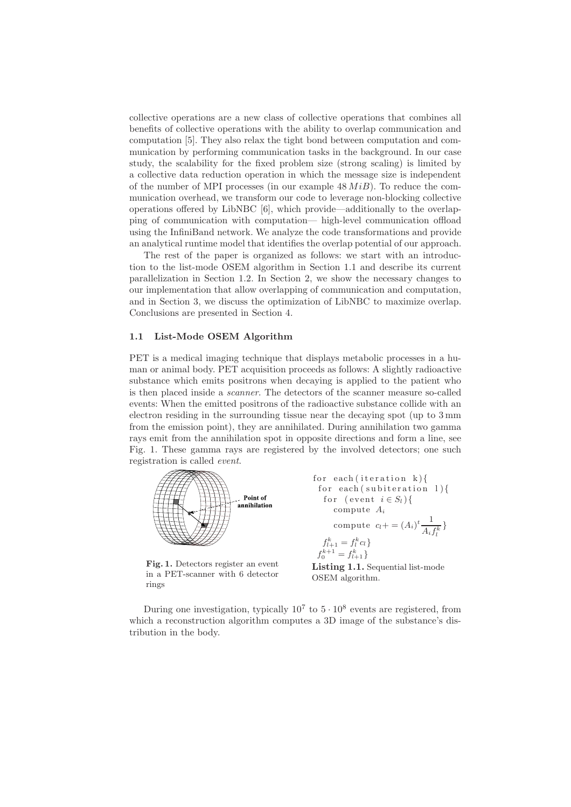collective operations are a new class of collective operations that combines all benefits of collective operations with the ability to overlap communication and computation [5]. They also relax the tight bond between computation and communication by performing communication tasks in the background. In our case study, the scalability for the fixed problem size (strong scaling) is limited by a collective data reduction operation in which the message size is independent of the number of MPI processes (in our example  $48 MiB$ ). To reduce the communication overhead, we transform our code to leverage non-blocking collective operations offered by LibNBC [6], which provide—additionally to the overlapping of communication with computation— high-level communication offload using the InfiniBand network. We analyze the code transformations and provide an analytical runtime model that identifies the overlap potential of our approach.

The rest of the paper is organized as follows: we start with an introduction to the list-mode OSEM algorithm in Section 1.1 and describe its current parallelization in Section 1.2. In Section 2, we show the necessary changes to our implementation that allow overlapping of communication and computation, and in Section 3, we discuss the optimization of LibNBC to maximize overlap. Conclusions are presented in Section 4.

### 1.1 List-Mode OSEM Algorithm

PET is a medical imaging technique that displays metabolic processes in a human or animal body. PET acquisition proceeds as follows: A slightly radioactive substance which emits positrons when decaying is applied to the patient who is then placed inside a scanner. The detectors of the scanner measure so-called events: When the emitted positrons of the radioactive substance collide with an electron residing in the surrounding tissue near the decaying spot (up to 3 mm from the emission point), they are annihilated. During annihilation two gamma rays emit from the annihilation spot in opposite directions and form a line, see Fig. 1. These gamma rays are registered by the involved detectors; one such registration is called event.



Fig. 1. Detectors register an event in a PET-scanner with 6 detector rings

for each (iteration k){  
\nfor each (subiteration 1){  
\nfor (event 
$$
i \in S_l
$$
){  
\ncompute  $A_i$   
\ncompute  $c_l + = (A_i)^t \frac{1}{A_i f_l^k}$ }  
\n $f_{l+1}^k = f_l^k c_l$ }  
\n $f_0^{k+1} = f_{l+1}^k$ 

Listing 1.1. Sequential list-mode OSEM algorithm.

During one investigation, typically  $10^7$  to  $5 \cdot 10^8$  events are registered, from which a reconstruction algorithm computes a 3D image of the substance's distribution in the body.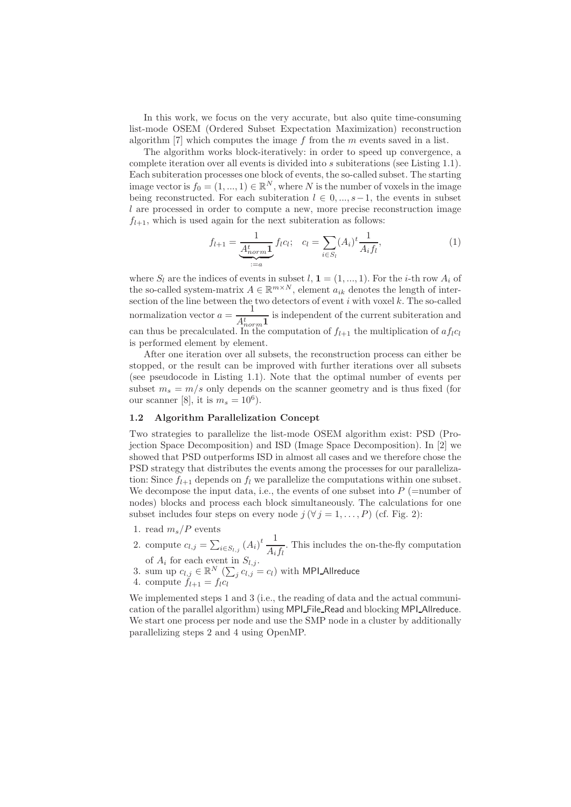In this work, we focus on the very accurate, but also quite time-consuming list-mode OSEM (Ordered Subset Expectation Maximization) reconstruction algorithm  $[7]$  which computes the image f from the m events saved in a list.

The algorithm works block-iteratively: in order to speed up convergence, a complete iteration over all events is divided into s subiterations (see Listing 1.1). Each subiteration processes one block of events, the so-called subset. The starting image vector is  $f_0 = (1, ..., 1) \in \mathbb{R}^N$ , where N is the number of voxels in the image being reconstructed. For each subiteration  $l \in 0, ..., s-1$ , the events in subset l are processed in order to compute a new, more precise reconstruction image  $f_{l+1}$ , which is used again for the next subiteration as follows:

$$
f_{l+1} = \underbrace{\frac{1}{A_{norm}^t} \mathbf{1}}_{:=a} f_l c_l; \quad c_l = \sum_{i \in S_l} (A_i)^t \frac{1}{A_i f_l}, \tag{1}
$$

where  $S_l$  are the indices of events in subset  $l, 1 = (1, ..., 1)$ . For the *i*-th row  $A_i$  of the so-called system-matrix  $A \in \mathbb{R}^{m \times N}$ , element  $a_{ik}$  denotes the length of intersection of the line between the two detectors of event  $i$  with voxel  $k$ . The so-called normalization vector  $a = \frac{1}{4t}$  $\frac{1}{A_{norm}^t}$  is independent of the current subiteration and can thus be precalculated. In the computation of  $f_{l+1}$  the multiplication of  $af_{l}c_{l}$ is performed element by element.

After one iteration over all subsets, the reconstruction process can either be stopped, or the result can be improved with further iterations over all subsets (see pseudocode in Listing 1.1). Note that the optimal number of events per subset  $m_s = m/s$  only depends on the scanner geometry and is thus fixed (for our scanner [8], it is  $m_s = 10^6$ ).

### 1.2 Algorithm Parallelization Concept

Two strategies to parallelize the list-mode OSEM algorithm exist: PSD (Projection Space Decomposition) and ISD (Image Space Decomposition). In [2] we showed that PSD outperforms ISD in almost all cases and we therefore chose the PSD strategy that distributes the events among the processes for our parallelization: Since  $f_{l+1}$  depends on  $f_l$  we parallelize the computations within one subset. We decompose the input data, i.e., the events of one subset into  $P$  (=number of nodes) blocks and process each block simultaneously. The calculations for one subset includes four steps on every node  $j (\forall j = 1, ..., P)$  (cf. Fig. 2):

- 1. read  $m_s/P$  events
- 2. compute  $c_{l,j} = \sum_{i \in S_{l,j}} (A_i)^t \frac{1}{A_i}$  $\frac{1}{A_i f_l}$ . This includes the on-the-fly computation of  $A_i$  for each event in  $S_{l,j}$ .
- 3. sum up  $c_{l,j} \in \mathbb{R}^N \left( \sum_j c_{l,j} \right) = c_l$  with MPI Allreduce
- 4. compute  $f_{l+1} = f_l c_l$

We implemented steps 1 and 3 (i.e., the reading of data and the actual communication of the parallel algorithm) using MPI\_File\_Read and blocking MPI\_Allreduce. We start one process per node and use the SMP node in a cluster by additionally parallelizing steps 2 and 4 using OpenMP.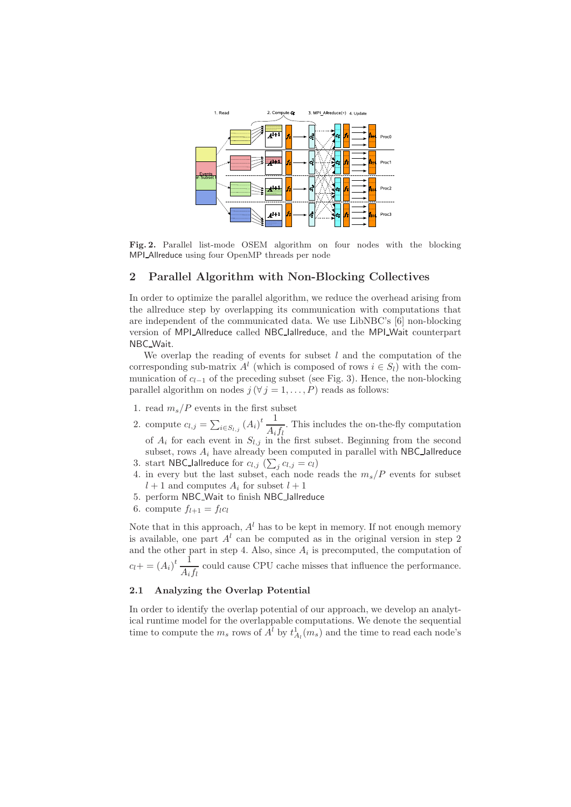

Fig. 2. Parallel list-mode OSEM algorithm on four nodes with the blocking MPI\_Allreduce using four OpenMP threads per node

# 2 Parallel Algorithm with Non-Blocking Collectives

In order to optimize the parallel algorithm, we reduce the overhead arising from the allreduce step by overlapping its communication with computations that are independent of the communicated data. We use LibNBC's [6] non-blocking version of MPI Allreduce called NBC Iallreduce, and the MPI Wait counterpart NBC Wait.

We overlap the reading of events for subset  $l$  and the computation of the corresponding sub-matrix  $A^l$  (which is composed of rows  $i \in S_l$ ) with the communication of  $c_{l-1}$  of the preceding subset (see Fig. 3). Hence, the non-blocking parallel algorithm on nodes  $j (\forall j = 1, ..., P)$  reads as follows:

- 1. read  $m_s/P$  events in the first subset
- 2. compute  $c_{l,j} = \sum_{i \in S_{l,j}} (A_i)^t \frac{1}{A_i}$  $\frac{1}{A_i f_l}$ . This includes the on-the-fly computation of  $A_i$  for each event in  $S_{l,j}$  in the first subset. Beginning from the second subset, rows  $A_i$  have already been computed in parallel with NBC-lallreduce 3. start NBC\_lallreduce for  $c_{l,j}$   $(\sum_j c_{l,j} = c_l)$
- 4. in every but the last subset, each node reads the  $m_s/P$  events for subset
- $l + 1$  and computes  $A_i$  for subset  $l + 1$
- 5. perform NBC Wait to finish NBC Iallreduce
- 6. compute  $f_{l+1} = f_l c_l$

Note that in this approach,  $A<sup>l</sup>$  has to be kept in memory. If not enough memory is available, one part  $A<sup>l</sup>$  can be computed as in the original version in step 2 and the other part in step 4. Also, since  $A_i$  is precomputed, the computation of  $c_l + (A_i)^t \frac{1}{4}$  $\frac{1}{A_i f_l}$  could cause CPU cache misses that influence the performance.

### 2.1 Analyzing the Overlap Potential

In order to identify the overlap potential of our approach, we develop an analytical runtime model for the overlappable computations. We denote the sequential time to compute the  $m_s$  rows of  $A^l$  by  $t^1_{A_l}(m_s)$  and the time to read each node's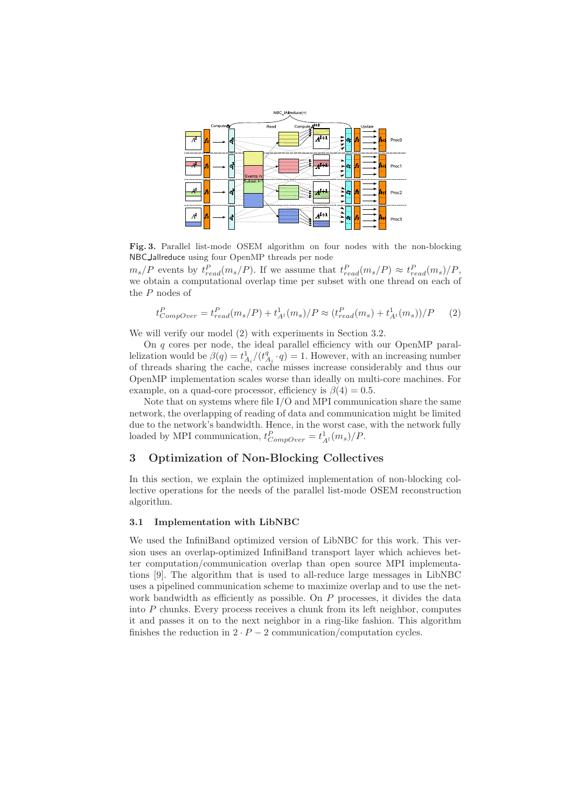

Fig. 3. Parallel list-mode OSEM algorithm on four nodes with the non-blocking NBC Iallreduce using four OpenMP threads per node

 $m_s/P$  events by  $t_{read}^P(m_s/P)$ . If we assume that  $t_{read}^P(m_s/P) \approx t_{read}^P(m_s)/P$ , we obtain a computational overlap time per subset with one thread on each of the P nodes of

$$
t_{CompOver}^P = t_{read}^P(m_s/P) + t_{A^l}^1(m_s)/P \approx (t_{read}^P(m_s) + t_{A^l}^1(m_s))/P
$$
 (2)

We will verify our model (2) with experiments in Section 3.2.

On q cores per node, the ideal parallel efficiency with our OpenMP parallelization would be  $\beta(q) = t_{A_i}^1/(t_{A_i}^q \cdot q) = 1$ . However, with an increasing number of threads sharing the cache, cache misses increase considerably and thus our OpenMP implementation scales worse than ideally on multi-core machines. For example, on a quad-core processor, efficiency is  $\beta(4) = 0.5$ .

Note that on systems where file I/O and MPI communication share the same network, the overlapping of reading of data and communication might be limited due to the network's bandwidth. Hence, in the worst case, with the network fully loaded by MPI communication,  $t_{CompOver}^P = t_{A^l}^1(m_s)/P$ .

# 3 Optimization of Non-Blocking Collectives

In this section, we explain the optimized implementation of non-blocking collective operations for the needs of the parallel list-mode OSEM reconstruction algorithm.

### 3.1 Implementation with LibNBC

We used the InfiniBand optimized version of LibNBC for this work. This version uses an overlap-optimized InfiniBand transport layer which achieves better computation/communication overlap than open source MPI implementations [9]. The algorithm that is used to all-reduce large messages in LibNBC uses a pipelined communication scheme to maximize overlap and to use the network bandwidth as efficiently as possible. On  $P$  processes, it divides the data into P chunks. Every process receives a chunk from its left neighbor, computes it and passes it on to the next neighbor in a ring-like fashion. This algorithm finishes the reduction in  $2 \cdot P - 2$  communication/computation cycles.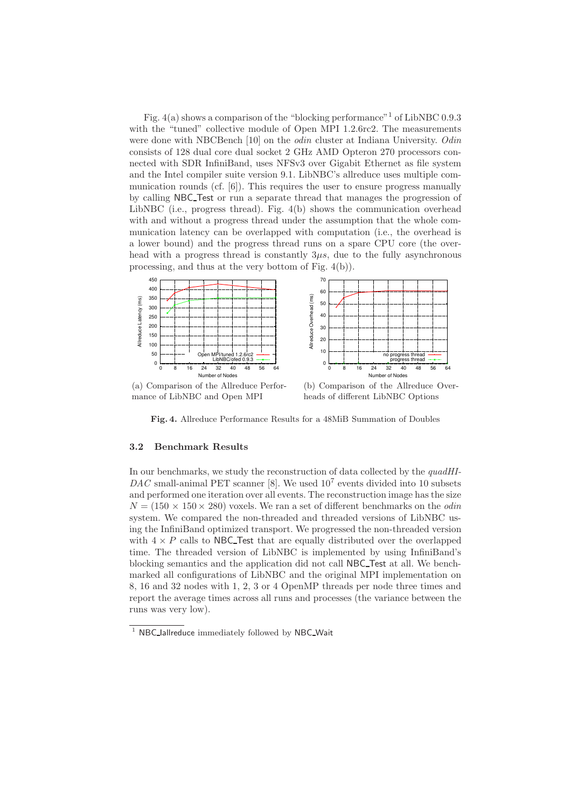Fig.  $4(a)$  shows a comparison of the "blocking performance"<sup>1</sup> of LibNBC 0.9.3 with the "tuned" collective module of Open MPI 1.2.6rc2. The measurements were done with NBCBench [10] on the *odin* cluster at Indiana University. Odin consists of 128 dual core dual socket 2 GHz AMD Opteron 270 processors connected with SDR InfiniBand, uses NFSv3 over Gigabit Ethernet as file system and the Intel compiler suite version 9.1. LibNBC's allreduce uses multiple communication rounds (cf. [6]). This requires the user to ensure progress manually by calling NBC Test or run a separate thread that manages the progression of LibNBC (i.e., progress thread). Fig.  $4(b)$  shows the communication overhead with and without a progress thread under the assumption that the whole communication latency can be overlapped with computation (i.e., the overhead is a lower bound) and the progress thread runs on a spare CPU core (the overhead with a progress thread is constantly  $3\mu s$ , due to the fully asynchronous processing, and thus at the very bottom of Fig. 4(b)).



(a) Comparison of the Allreduce Performance of LibNBC and Open MPI

(b) Comparison of the Allreduce Overheads of different LibNBC Options

Fig. 4. Allreduce Performance Results for a 48MiB Summation of Doubles

#### 3.2 Benchmark Results

In our benchmarks, we study the reconstruction of data collected by the quadHI- $DAC$  small-animal PET scanner [8]. We used  $10<sup>7</sup>$  events divided into 10 subsets and performed one iteration over all events. The reconstruction image has the size  $N = (150 \times 150 \times 280)$  voxels. We ran a set of different benchmarks on the *odin* system. We compared the non-threaded and threaded versions of LibNBC using the InfiniBand optimized transport. We progressed the non-threaded version with  $4 \times P$  calls to NBC Test that are equally distributed over the overlapped time. The threaded version of LibNBC is implemented by using InfiniBand's blocking semantics and the application did not call NBC Test at all. We benchmarked all configurations of LibNBC and the original MPI implementation on 8, 16 and 32 nodes with 1, 2, 3 or 4 OpenMP threads per node three times and report the average times across all runs and processes (the variance between the runs was very low).

 $1$  NBC lallreduce immediately followed by NBC Wait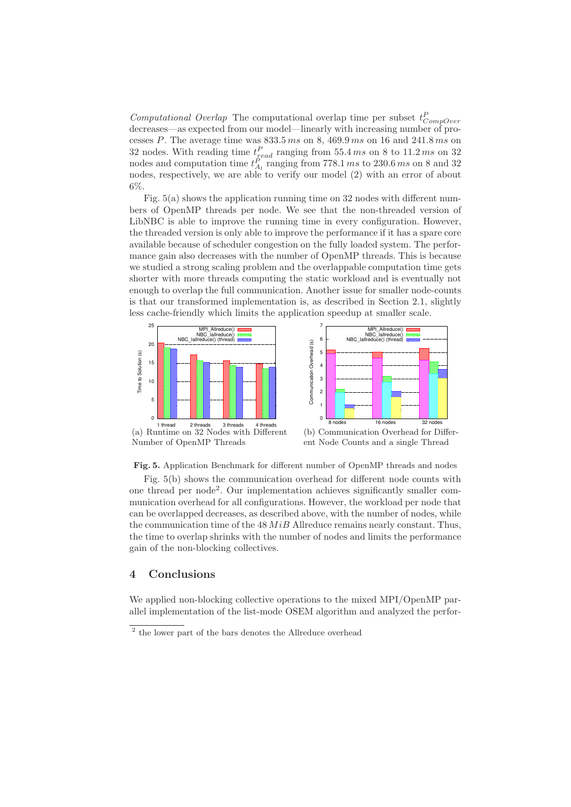Computational Overlap The computational overlap time per subset  $t_{CompOver}^P$ decreases—as expected from our model—linearly with increasing number of processes  $P$ . The average time was  $833.5\,ms$  on  $8,469.9\,ms$  on 16 and  $241.8\,ms$  on 32 nodes. With reading time  $t_{\text{read}}^P$  ranging from 55.4 ms on 8 to 11.2 ms on 32 nodes and computation time  $t_{A_l}^P$  ranging from 778.1 ms to 230.6 ms on 8 and 32 nodes, respectively, we are able to verify our model (2) with an error of about 6%.

Fig. 5(a) shows the application running time on 32 nodes with different numbers of OpenMP threads per node. We see that the non-threaded version of LibNBC is able to improve the running time in every configuration. However, the threaded version is only able to improve the performance if it has a spare core available because of scheduler congestion on the fully loaded system. The performance gain also decreases with the number of OpenMP threads. This is because we studied a strong scaling problem and the overlappable computation time gets shorter with more threads computing the static workload and is eventually not enough to overlap the full communication. Another issue for smaller node-counts is that our transformed implementation is, as described in Section 2.1, slightly less cache-friendly which limits the application speedup at smaller scale.



Fig. 5. Application Benchmark for different number of OpenMP threads and nodes

Fig. 5(b) shows the communication overhead for different node counts with one thread per node<sup>2</sup> . Our implementation achieves significantly smaller communication overhead for all configurations. However, the workload per node that can be overlapped decreases, as described above, with the number of nodes, while the communication time of the  $48$   $MiB$  Allreduce remains nearly constant. Thus, the time to overlap shrinks with the number of nodes and limits the performance gain of the non-blocking collectives.

### 4 Conclusions

We applied non-blocking collective operations to the mixed MPI/OpenMP parallel implementation of the list-mode OSEM algorithm and analyzed the perfor-

<sup>2</sup> the lower part of the bars denotes the Allreduce overhead